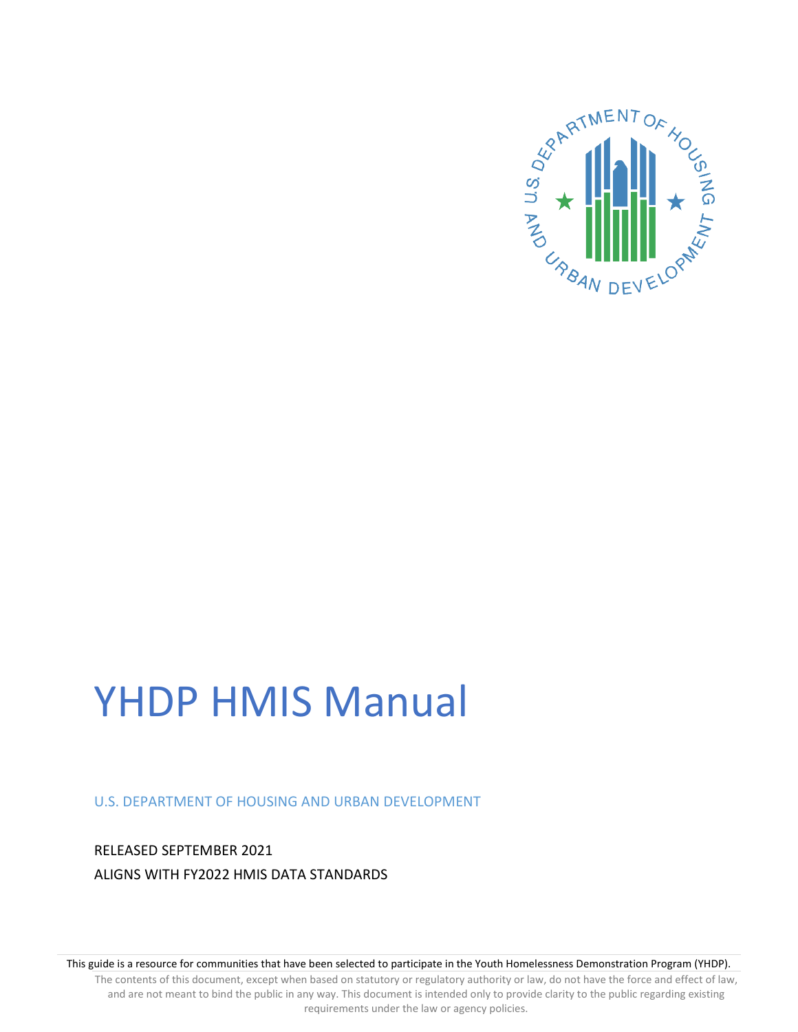

# YHDP HMIS Manual

U.S. DEPARTMENT OF HOUSING AND URBAN DEVELOPMENT

RELEASED SEPTEMBER 2021 ALIGNS WITH FY2022 HMIS DATA STANDARDS

This guide is a resource for communities that have been selected to participate in the Youth Homelessness Demonstration Program (YHDP).

The contents of this document, except when based on statutory or regulatory authority or law, do not have the force and effect of law, and are not meant to bind the public in any way. This document is intended only to provide clarity to the public regarding existing requirements under the law or agency policies.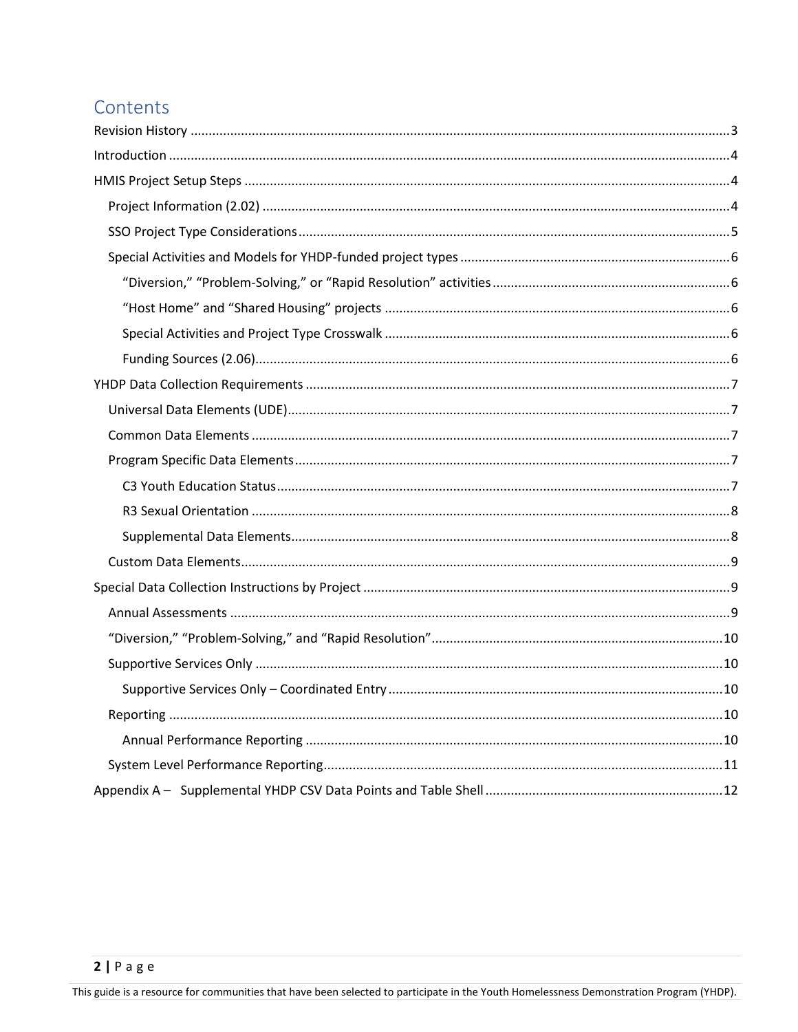# Contents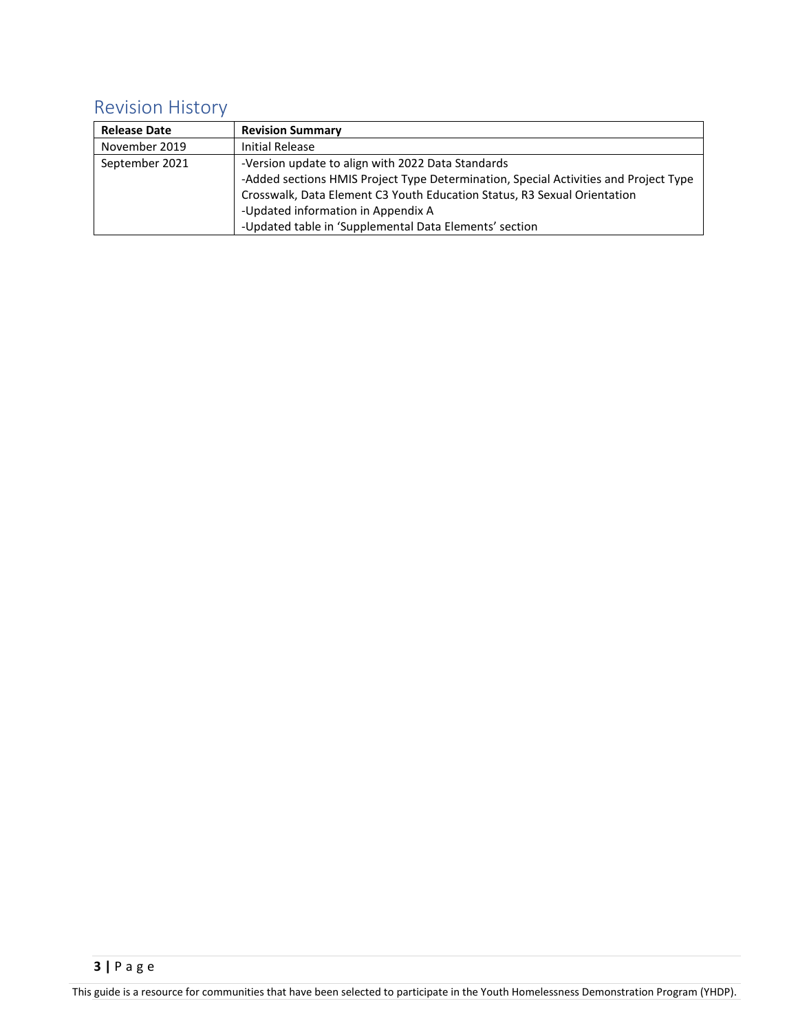# <span id="page-2-0"></span>Revision History

| <b>Release Date</b> | <b>Revision Summary</b>                                                              |
|---------------------|--------------------------------------------------------------------------------------|
| November 2019       | Initial Release                                                                      |
| September 2021      | -Version update to align with 2022 Data Standards                                    |
|                     | -Added sections HMIS Project Type Determination, Special Activities and Project Type |
|                     | Crosswalk, Data Element C3 Youth Education Status, R3 Sexual Orientation             |
|                     | -Updated information in Appendix A                                                   |
|                     | -Updated table in 'Supplemental Data Elements' section                               |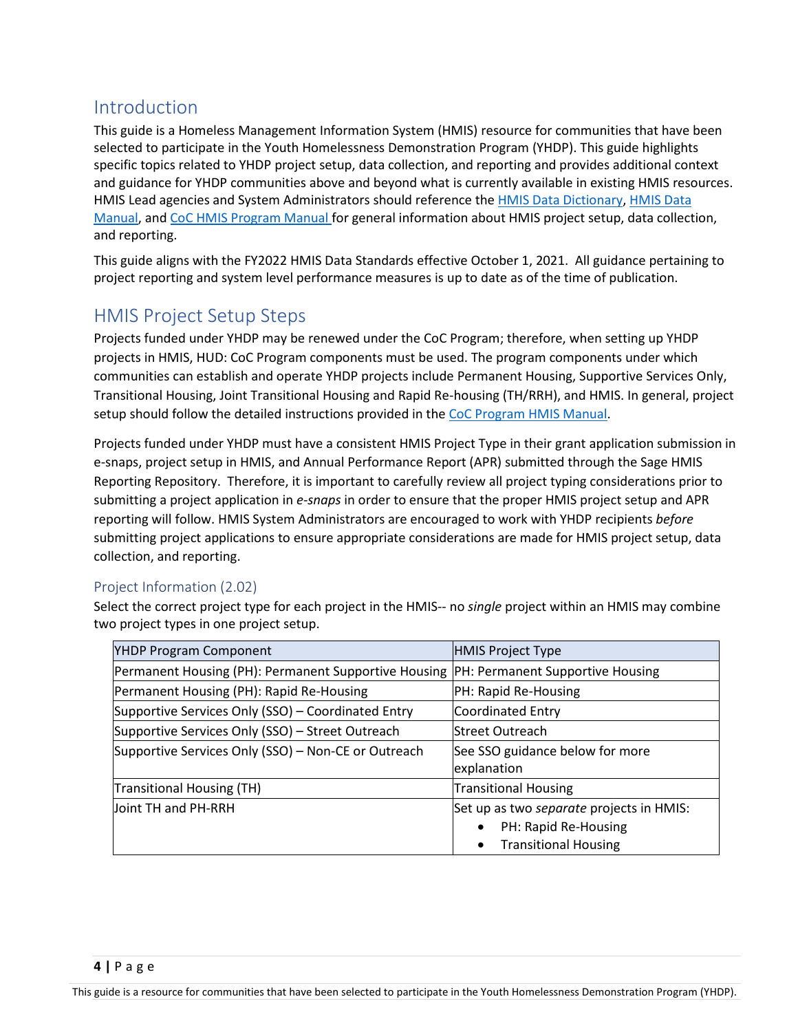# <span id="page-3-0"></span>Introduction

This guide is a Homeless Management Information System (HMIS) resource for communities that have been selected to participate in the Youth Homelessness Demonstration Program (YHDP). This guide highlights specific topics related to YHDP project setup, data collection, and reporting and provides additional context and guidance for YHDP communities above and beyond what is currently available in existing HMIS resources. HMIS Lead agencies and System Administrators should reference the **HMIS Data Dictionary**, HMIS Data [Manual,](https://files.hudexchange.info/resources/documents/FY-2022-HMIS-Data-Standards-Manual.pdf) an[d CoC HMIS Program Manual f](https://www.hudexchange.info/resource/4445/coc-program-hmis-manual/)or general information about HMIS project setup, data collection, and reporting.

This guide aligns with the FY2022 HMIS Data Standards effective October 1, 2021. All guidance pertaining to project reporting and system level performance measures is up to date as of the time of publication.

# <span id="page-3-1"></span>HMIS Project Setup Steps

Projects funded under YHDP may be renewed under the CoC Program; therefore, when setting up YHDP projects in HMIS, HUD: CoC Program components must be used. The program components under which communities can establish and operate YHDP projects include Permanent Housing, Supportive Services Only, Transitional Housing, Joint Transitional Housing and Rapid Re-housing (TH/RRH), and HMIS. In general, project setup should follow the detailed instructions provided in th[e CoC Program HMIS Manual.](https://www.hudexchange.info/resource/4445/coc-program-hmis-manual/)

Projects funded under YHDP must have a consistent HMIS Project Type in their grant application submission in e-snaps, project setup in HMIS, and Annual Performance Report (APR) submitted through the Sage HMIS Reporting Repository. Therefore, it is important to carefully review all project typing considerations prior to submitting a project application in *e-snaps* in order to ensure that the proper HMIS project setup and APR reporting will follow. HMIS System Administrators are encouraged to work with YHDP recipients *before* submitting project applications to ensure appropriate considerations are made for HMIS project setup, data collection, and reporting.

## <span id="page-3-2"></span>Project Information (2.02)

Select the correct project type for each project in the HMIS-- no *single* project within an HMIS may combine two project types in one project setup.

| <b>YHDP Program Component</b>                                                          | <b>HMIS Project Type</b>                 |
|----------------------------------------------------------------------------------------|------------------------------------------|
| Permanent Housing (PH): Permanent Supportive Housing  PH: Permanent Supportive Housing |                                          |
| Permanent Housing (PH): Rapid Re-Housing                                               | PH: Rapid Re-Housing                     |
| Supportive Services Only (SSO) – Coordinated Entry                                     | Coordinated Entry                        |
| Supportive Services Only (SSO) - Street Outreach                                       | <b>Street Outreach</b>                   |
| Supportive Services Only (SSO) – Non-CE or Outreach                                    | See SSO guidance below for more          |
|                                                                                        | explanation                              |
| Transitional Housing (TH)                                                              | <b>Transitional Housing</b>              |
| Joint TH and PH-RRH                                                                    | Set up as two separate projects in HMIS: |
|                                                                                        | PH: Rapid Re-Housing<br>$\bullet$        |
|                                                                                        | <b>Transitional Housing</b><br>$\bullet$ |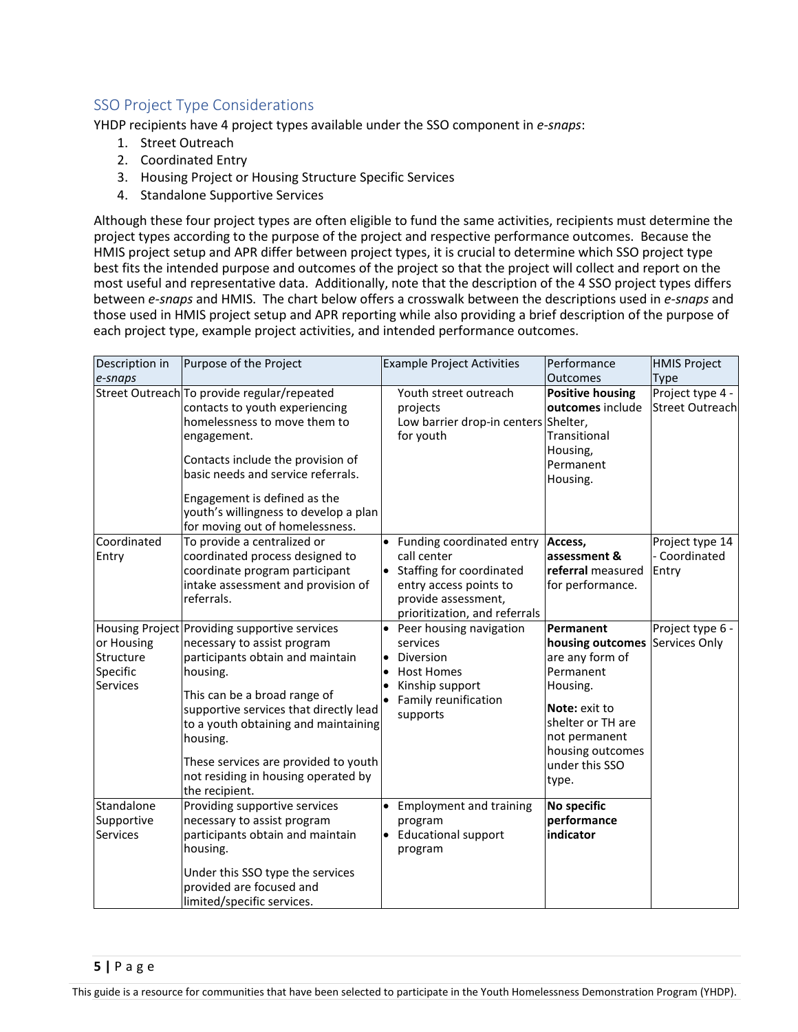# <span id="page-4-0"></span>SSO Project Type Considerations

YHDP recipients have 4 project types available under the SSO component in *e-snaps*:

- 1. Street Outreach
- 2. Coordinated Entry
- 3. Housing Project or Housing Structure Specific Services
- 4. Standalone Supportive Services

Although these four project types are often eligible to fund the same activities, recipients must determine the project types according to the purpose of the project and respective performance outcomes. Because the HMIS project setup and APR differ between project types, it is crucial to determine which SSO project type best fits the intended purpose and outcomes of the project so that the project will collect and report on the most useful and representative data. Additionally, note that the description of the 4 SSO project types differs between *e-snaps* and HMIS. The chart below offers a crosswalk between the descriptions used in *e-snaps* and those used in HMIS project setup and APR reporting while also providing a brief description of the purpose of each project type, example project activities, and intended performance outcomes.

| Description in                                         | Purpose of the Project                                                                                                                                                                                                                                                                                                                                      |                        | <b>Example Project Activities</b>                                                                                                                        | Performance                                                                                                                                                                     | <b>HMIS Project</b>                                |
|--------------------------------------------------------|-------------------------------------------------------------------------------------------------------------------------------------------------------------------------------------------------------------------------------------------------------------------------------------------------------------------------------------------------------------|------------------------|----------------------------------------------------------------------------------------------------------------------------------------------------------|---------------------------------------------------------------------------------------------------------------------------------------------------------------------------------|----------------------------------------------------|
| e-snaps                                                | Street Outreach To provide regular/repeated<br>contacts to youth experiencing<br>homelessness to move them to<br>engagement.<br>Contacts include the provision of<br>basic needs and service referrals.<br>Engagement is defined as the<br>youth's willingness to develop a plan<br>for moving out of homelessness.                                         |                        | Youth street outreach<br>projects<br>Low barrier drop-in centers Shelter,<br>for youth                                                                   | <b>Outcomes</b><br><b>Positive housing</b><br>outcomes include<br>Transitional<br>Housing,<br>Permanent<br>Housing.                                                             | Type<br>Project type 4 -<br><b>Street Outreach</b> |
| Coordinated<br>Entry                                   | To provide a centralized or<br>coordinated process designed to<br>coordinate program participant<br>intake assessment and provision of<br>referrals.                                                                                                                                                                                                        |                        | Funding coordinated entry<br>call center<br>• Staffing for coordinated<br>entry access points to<br>provide assessment,<br>prioritization, and referrals | Access,<br>assessment &<br>referral measured<br>for performance.                                                                                                                | Project type 14<br>- Coordinated<br>Entry          |
| or Housing<br>Structure<br>Specific<br><b>Services</b> | Housing Project Providing supportive services<br>necessary to assist program<br>participants obtain and maintain<br>housing.<br>This can be a broad range of<br>supportive services that directly lead<br>to a youth obtaining and maintaining<br>housing.<br>These services are provided to youth<br>not residing in housing operated by<br>the recipient. | $\bullet$              | Peer housing navigation<br>services<br>Diversion<br><b>Host Homes</b><br>Kinship support<br>Family reunification<br>supports                             | Permanent<br>housing outcomes<br>are any form of<br>Permanent<br>Housing.<br>Note: exit to<br>shelter or TH are<br>not permanent<br>housing outcomes<br>under this SSO<br>type. | Project type 6 -<br>Services Only                  |
| Standalone<br>Supportive<br><b>Services</b>            | Providing supportive services<br>necessary to assist program<br>participants obtain and maintain<br>housing.<br>Under this SSO type the services<br>provided are focused and<br>limited/specific services.                                                                                                                                                  | $\bullet$<br>$\bullet$ | <b>Employment and training</b><br>program<br><b>Educational support</b><br>program                                                                       | No specific<br>performance<br>indicator                                                                                                                                         |                                                    |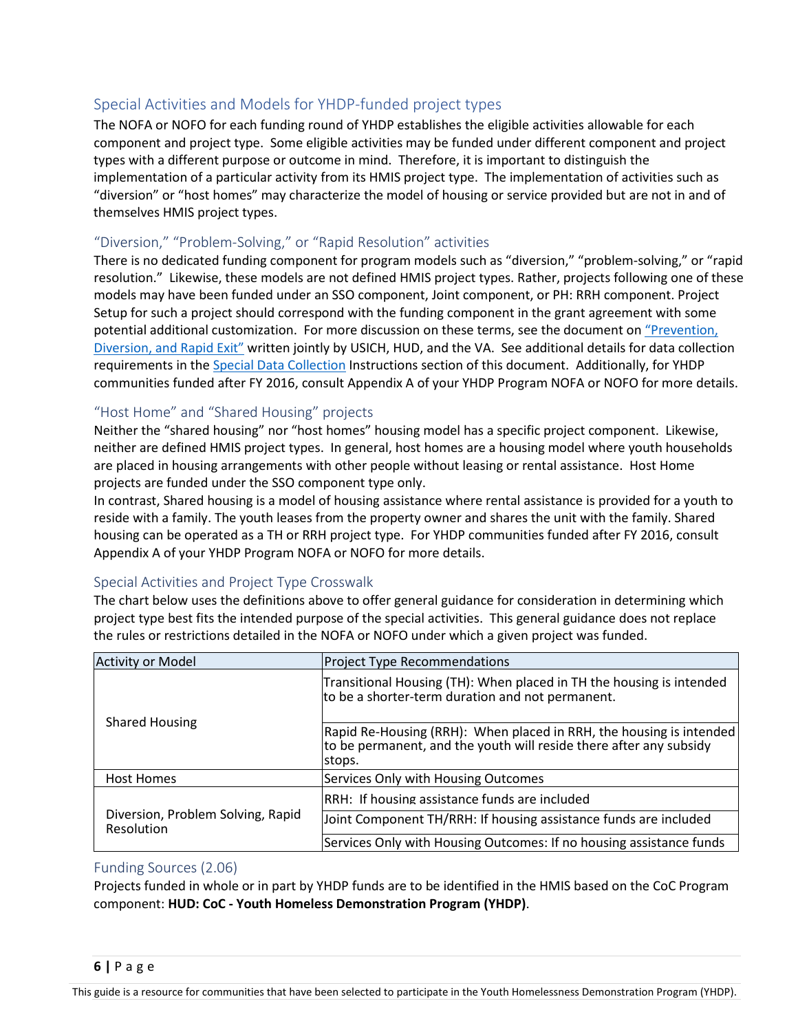## <span id="page-5-0"></span>Special Activities and Models for YHDP-funded project types

The NOFA or NOFO for each funding round of YHDP establishes the eligible activities allowable for each component and project type. Some eligible activities may be funded under different component and project types with a different purpose or outcome in mind. Therefore, it is important to distinguish the implementation of a particular activity from its HMIS project type. The implementation of activities such as "diversion" or "host homes" may characterize the model of housing or service provided but are not in and of themselves HMIS project types.

#### <span id="page-5-1"></span>"Diversion," "Problem-Solving," or "Rapid Resolution" activities

There is no dedicated funding component for program models such as "diversion," "problem-solving," or "rapid resolution." Likewise, these models are not defined HMIS project types. Rather, projects following one of these models may have been funded under an SSO component, Joint component, or PH: RRH component. Project Setup for such a project should correspond with the funding component in the grant agreement with some potential additional customization. For more discussion on these terms, see the document on ["Prevention,](https://www.usich.gov/tools-for-action/prevention-diversion-and-rapid-exit/)  [Diversion, and Rapid Exit"](https://www.usich.gov/tools-for-action/prevention-diversion-and-rapid-exit/) written jointly by USICH, HUD, and the VA. See additional details for data collection requirements in th[e Special Data Collection](#page-8-1) Instructions section of this document. Additionally, for YHDP communities funded after FY 2016, consult Appendix A of your YHDP Program NOFA or NOFO for more details.

#### <span id="page-5-2"></span>"Host Home" and "Shared Housing" projects

Neither the "shared housing" nor "host homes" housing model has a specific project component. Likewise, neither are defined HMIS project types. In general, host homes are a housing model where youth households are placed in housing arrangements with other people without leasing or rental assistance. Host Home projects are funded under the SSO component type only.

In contrast, Shared housing is a model of housing assistance where rental assistance is provided for a youth to reside with a family. The youth leases from the property owner and shares the unit with the family. Shared housing can be operated as a TH or RRH project type. For YHDP communities funded after FY 2016, consult Appendix A of your YHDP Program NOFA or NOFO for more details.

#### <span id="page-5-3"></span>Special Activities and Project Type Crosswalk

The chart below uses the definitions above to offer general guidance for consideration in determining which project type best fits the intended purpose of the special activities. This general guidance does not replace the rules or restrictions detailed in the NOFA or NOFO under which a given project was funded.

| <b>Activity or Model</b>                               | <b>Project Type Recommendations</b>                                                                                                                 |
|--------------------------------------------------------|-----------------------------------------------------------------------------------------------------------------------------------------------------|
| <b>Shared Housing</b>                                  | Transitional Housing (TH): When placed in TH the housing is intended<br>to be a shorter-term duration and not permanent.                            |
|                                                        | Rapid Re-Housing (RRH): When placed in RRH, the housing is intended<br>to be permanent, and the youth will reside there after any subsidy<br>stops. |
| Host Homes                                             | Services Only with Housing Outcomes                                                                                                                 |
|                                                        | RRH: If housing assistance funds are included                                                                                                       |
| Diversion, Problem Solving, Rapid<br><b>Resolution</b> | Joint Component TH/RRH: If housing assistance funds are included                                                                                    |
|                                                        | Services Only with Housing Outcomes: If no housing assistance funds                                                                                 |

#### <span id="page-5-4"></span>Funding Sources (2.06)

Projects funded in whole or in part by YHDP funds are to be identified in the HMIS based on the CoC Program component: **HUD: CoC - Youth Homeless Demonstration Program (YHDP)**.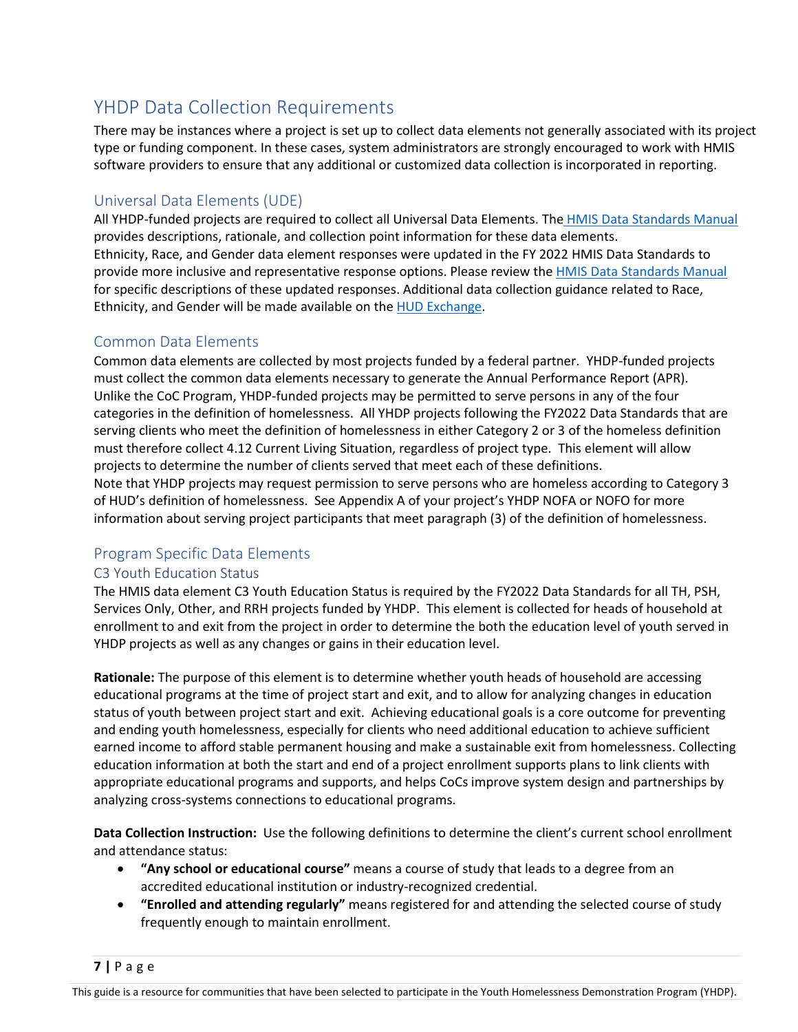# <span id="page-6-0"></span>YHDP Data Collection Requirements

There may be instances where a project is set up to collect data elements not generally associated with its project type or funding component. In these cases, system administrators are strongly encouraged to work with HMIS software providers to ensure that any additional or customized data collection is incorporated in reporting.

## <span id="page-6-1"></span>Universal Data Elements (UDE)

All YHDP-funded projects are required to collect all Universal Data Elements. The [HMIS Data Standards Manual](https://files.hudexchange.info/resources/documents/FY-2022-HMIS-Data-Standards-Manual.pdf) provides descriptions, rationale, and collection point information for these data elements. Ethnicity, Race, and Gender data element responses were updated in the FY 2022 HMIS Data Standards to provide more inclusive and representative response options. Please review the [HMIS Data Standards Manual](https://files.hudexchange.info/resources/documents/FY-2022-HMIS-Data-Standards-Manual.pdf) for specific descriptions of these updated responses. Additional data collection guidance related to Race, Ethnicity, and Gender will be made available on th[e HUD Exchange.](https://www.hudexchange.info/resource/3824/hmis-data-dictionary/)

## <span id="page-6-2"></span>Common Data Elements

Common data elements are collected by most projects funded by a federal partner. YHDP-funded projects must collect the common data elements necessary to generate the Annual Performance Report (APR). Unlike the CoC Program, YHDP-funded projects may be permitted to serve persons in any of the four categories in the definition of homelessness. All YHDP projects following the FY2022 Data Standards that are serving clients who meet the definition of homelessness in either Category 2 or 3 of the homeless definition must therefore collect 4.12 Current Living Situation, regardless of project type. This element will allow projects to determine the number of clients served that meet each of these definitions. Note that YHDP projects may request permission to serve persons who are homeless according to Category 3

of HUD's definition of homelessness. See Appendix A of your project's YHDP NOFA or NOFO for more information about serving project participants that meet paragraph (3) of the definition of homelessness.

## <span id="page-6-3"></span>Program Specific Data Elements

## <span id="page-6-4"></span>C3 Youth Education Status

The HMIS data element C3 Youth Education Status is required by the FY2022 Data Standards for all TH, PSH, Services Only, Other, and RRH projects funded by YHDP. This element is collected for heads of household at enrollment to and exit from the project in order to determine the both the education level of youth served in YHDP projects as well as any changes or gains in their education level.

**Rationale:** The purpose of this element is to determine whether youth heads of household are accessing educational programs at the time of project start and exit, and to allow for analyzing changes in education status of youth between project start and exit. Achieving educational goals is a core outcome for preventing and ending youth homelessness, especially for clients who need additional education to achieve sufficient earned income to afford stable permanent housing and make a sustainable exit from homelessness. Collecting education information at both the start and end of a project enrollment supports plans to link clients with appropriate educational programs and supports, and helps CoCs improve system design and partnerships by analyzing cross-systems connections to educational programs.

**Data Collection Instruction:** Use the following definitions to determine the client's current school enrollment and attendance status:

- **"Any school or educational course"** means a course of study that leads to a degree from an accredited educational institution or industry-recognized credential.
- **"Enrolled and attending regularly"** means registered for and attending the selected course of study frequently enough to maintain enrollment.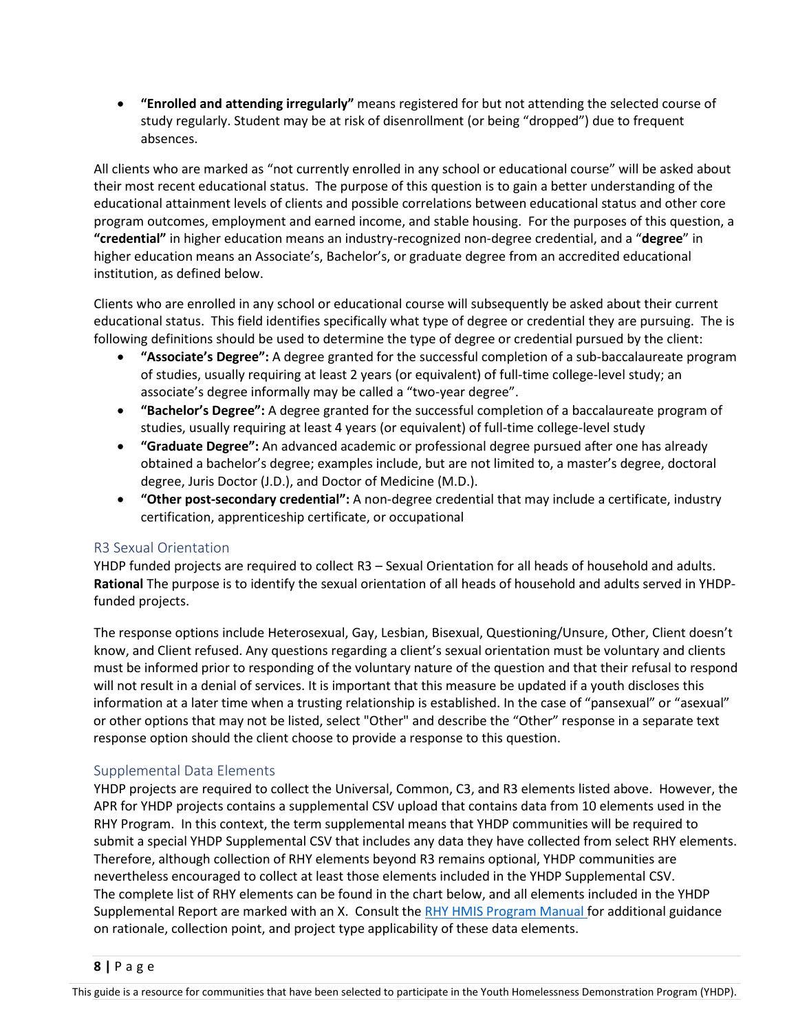• **"Enrolled and attending irregularly"** means registered for but not attending the selected course of study regularly. Student may be at risk of disenrollment (or being "dropped") due to frequent absences.

All clients who are marked as "not currently enrolled in any school or educational course" will be asked about their most recent educational status. The purpose of this question is to gain a better understanding of the educational attainment levels of clients and possible correlations between educational status and other core program outcomes, employment and earned income, and stable housing. For the purposes of this question, a **"credential"** in higher education means an industry-recognized non-degree credential, and a "**degree**" in higher education means an Associate's, Bachelor's, or graduate degree from an accredited educational institution, as defined below.

Clients who are enrolled in any school or educational course will subsequently be asked about their current educational status. This field identifies specifically what type of degree or credential they are pursuing. The is following definitions should be used to determine the type of degree or credential pursued by the client:

- **"Associate's Degree":** A degree granted for the successful completion of a sub-baccalaureate program of studies, usually requiring at least 2 years (or equivalent) of full-time college-level study; an associate's degree informally may be called a "two-year degree".
- **"Bachelor's Degree":** A degree granted for the successful completion of a baccalaureate program of studies, usually requiring at least 4 years (or equivalent) of full-time college-level study
- **"Graduate Degree":** An advanced academic or professional degree pursued after one has already obtained a bachelor's degree; examples include, but are not limited to, a master's degree, doctoral degree, Juris Doctor (J.D.), and Doctor of Medicine (M.D.).
- **"Other post-secondary credential":** A non-degree credential that may include a certificate, industry certification, apprenticeship certificate, or occupational

#### <span id="page-7-0"></span>R3 Sexual Orientation

YHDP funded projects are required to collect R3 – Sexual Orientation for all heads of household and adults. **Rational** The purpose is to identify the sexual orientation of all heads of household and adults served in YHDPfunded projects.

The response options include Heterosexual, Gay, Lesbian, Bisexual, Questioning/Unsure, Other, Client doesn't know, and Client refused. Any questions regarding a client's sexual orientation must be voluntary and clients must be informed prior to responding of the voluntary nature of the question and that their refusal to respond will not result in a denial of services. It is important that this measure be updated if a youth discloses this information at a later time when a trusting relationship is established. In the case of "pansexual" or "asexual" or other options that may not be listed, select "Other" and describe the "Other" response in a separate text response option should the client choose to provide a response to this question.

#### <span id="page-7-1"></span>Supplemental Data Elements

YHDP projects are required to collect the Universal, Common, C3, and R3 elements listed above. However, the APR for YHDP projects contains a supplemental CSV upload that contains data from 10 elements used in the RHY Program. In this context, the term supplemental means that YHDP communities will be required to submit a special YHDP Supplemental CSV that includes any data they have collected from select RHY elements. Therefore, although collection of RHY elements beyond R3 remains optional, YHDP communities are nevertheless encouraged to collect at least those elements included in the YHDP Supplemental CSV. The complete list of RHY elements can be found in the chart below, and all elements included in the YHDP Supplemental Report are marked with an X. Consult the [RHY HMIS Program Manual f](https://www.hudexchange.info/resource/4448/rhy-program-hmis-manual/)or additional guidance on rationale, collection point, and project type applicability of these data elements.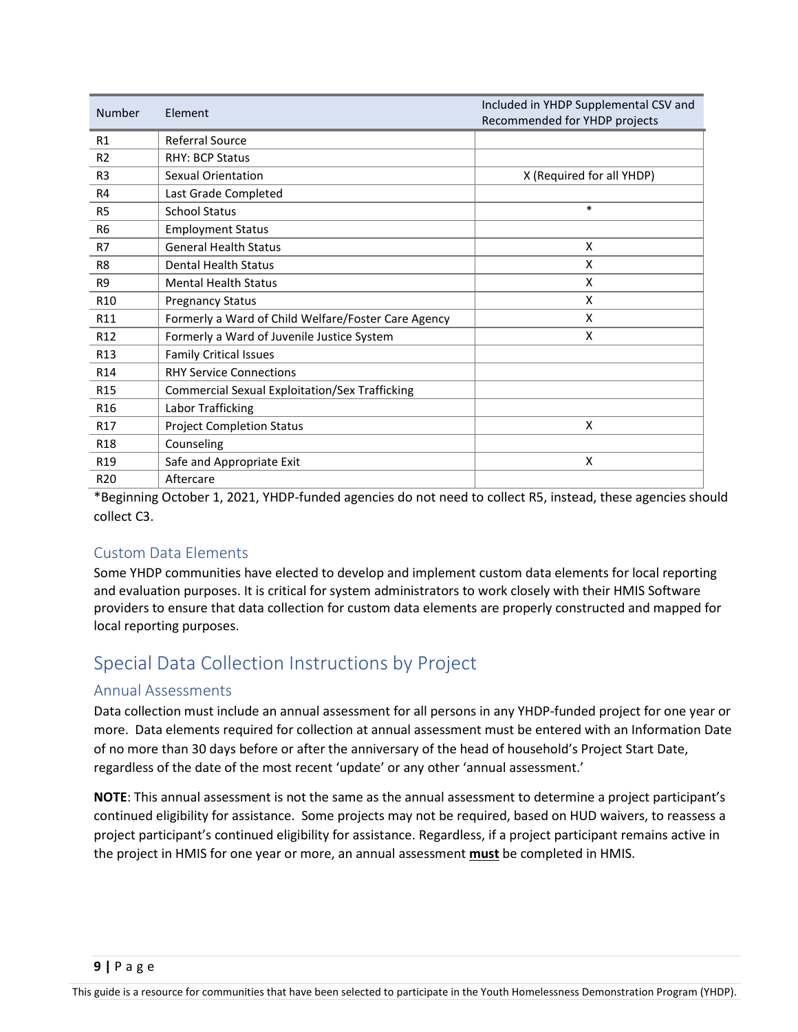| <b>Number</b>   | Element                                               | Included in YHDP Supplemental CSV and<br>Recommended for YHDP projects |
|-----------------|-------------------------------------------------------|------------------------------------------------------------------------|
| R1              | Referral Source                                       |                                                                        |
| R <sub>2</sub>  | <b>RHY: BCP Status</b>                                |                                                                        |
| R <sub>3</sub>  | Sexual Orientation                                    | X (Required for all YHDP)                                              |
| R4              | Last Grade Completed                                  |                                                                        |
| R <sub>5</sub>  | <b>School Status</b>                                  | $\ast$                                                                 |
| R <sub>6</sub>  | <b>Employment Status</b>                              |                                                                        |
| R7              | <b>General Health Status</b>                          | X                                                                      |
| R <sub>8</sub>  | <b>Dental Health Status</b>                           | X                                                                      |
| R <sub>9</sub>  | <b>Mental Health Status</b>                           | X                                                                      |
| R <sub>10</sub> | <b>Pregnancy Status</b>                               | X                                                                      |
| R11             | Formerly a Ward of Child Welfare/Foster Care Agency   | X                                                                      |
| R <sub>12</sub> | Formerly a Ward of Juvenile Justice System            | X                                                                      |
| R <sub>13</sub> | <b>Family Critical Issues</b>                         |                                                                        |
| R <sub>14</sub> | <b>RHY Service Connections</b>                        |                                                                        |
| R <sub>15</sub> | <b>Commercial Sexual Exploitation/Sex Trafficking</b> |                                                                        |
| R <sub>16</sub> | Labor Trafficking                                     |                                                                        |
| R <sub>17</sub> | <b>Project Completion Status</b>                      | X                                                                      |
| R <sub>18</sub> | Counseling                                            |                                                                        |
| R <sub>19</sub> | Safe and Appropriate Exit                             | X                                                                      |
| R <sub>20</sub> | Aftercare                                             |                                                                        |

\*Beginning October 1, 2021, YHDP-funded agencies do not need to collect R5, instead, these agencies should collect C3.

## <span id="page-8-0"></span>Custom Data Elements

Some YHDP communities have elected to develop and implement custom data elements for local reporting and evaluation purposes. It is critical for system administrators to work closely with their HMIS Software providers to ensure that data collection for custom data elements are properly constructed and mapped for local reporting purposes.

# <span id="page-8-1"></span>Special Data Collection Instructions by Project

## <span id="page-8-2"></span>Annual Assessments

Data collection must include an annual assessment for all persons in any YHDP-funded project for one year or more. Data elements required for collection at annual assessment must be entered with an Information Date of no more than 30 days before or after the anniversary of the head of household's Project Start Date, regardless of the date of the most recent 'update' or any other 'annual assessment.'

**NOTE**: This annual assessment is not the same as the annual assessment to determine a project participant's continued eligibility for assistance. Some projects may not be required, based on HUD waivers, to reassess a project participant's continued eligibility for assistance. Regardless, if a project participant remains active in the project in HMIS for one year or more, an annual assessment **must** be completed in HMIS.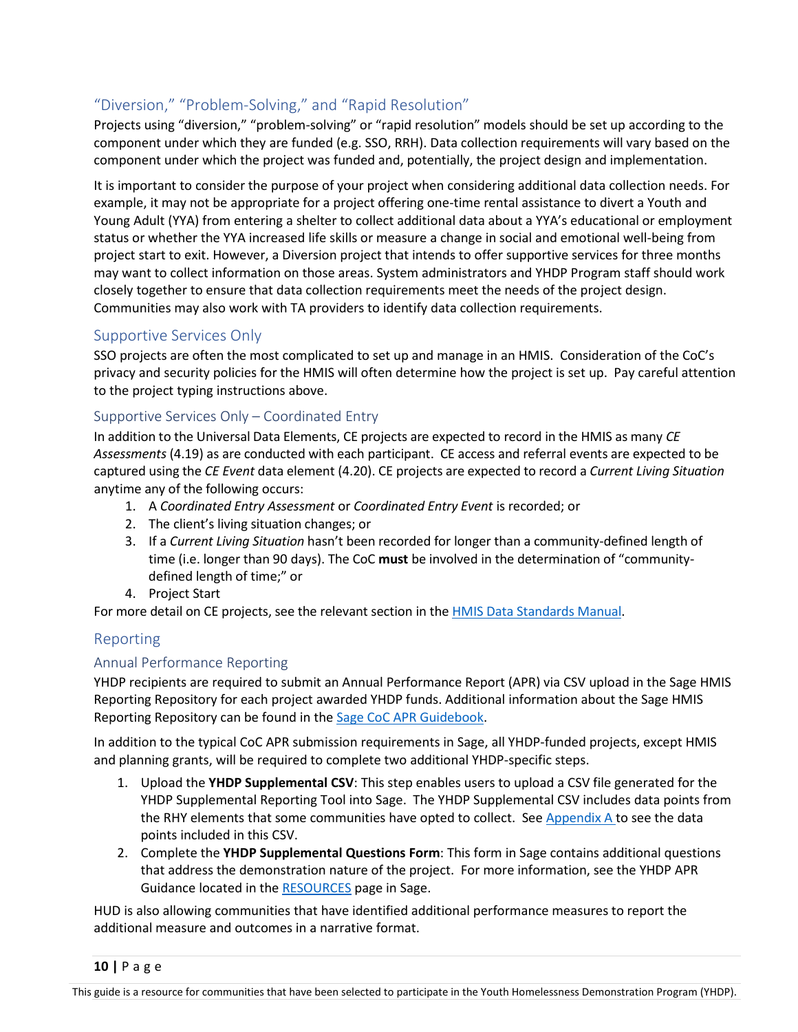# <span id="page-9-0"></span>"Diversion," "Problem-Solving," and "Rapid Resolution"

Projects using "diversion," "problem-solving" or "rapid resolution" models should be set up according to the component under which they are funded (e.g. SSO, RRH). Data collection requirements will vary based on the component under which the project was funded and, potentially, the project design and implementation.

It is important to consider the purpose of your project when considering additional data collection needs. For example, it may not be appropriate for a project offering one-time rental assistance to divert a Youth and Young Adult (YYA) from entering a shelter to collect additional data about a YYA's educational or employment status or whether the YYA increased life skills or measure a change in social and emotional well-being from project start to exit. However, a Diversion project that intends to offer supportive services for three months may want to collect information on those areas. System administrators and YHDP Program staff should work closely together to ensure that data collection requirements meet the needs of the project design. Communities may also work with TA providers to identify data collection requirements.

## <span id="page-9-1"></span>Supportive Services Only

SSO projects are often the most complicated to set up and manage in an HMIS. Consideration of the CoC's privacy and security policies for the HMIS will often determine how the project is set up. Pay careful attention to the project typing instructions above.

#### <span id="page-9-2"></span>Supportive Services Only – Coordinated Entry

In addition to the Universal Data Elements, CE projects are expected to record in the HMIS as many *CE Assessments* (4.19) as are conducted with each participant. CE access and referral events are expected to be captured using the *CE Event* data element (4.20). CE projects are expected to record a *Current Living Situation* anytime any of the following occurs:

- 1. A *Coordinated Entry Assessment* or *Coordinated Entry Event* is recorded; or
- 2. The client's living situation changes; or
- 3. If a *Current Living Situation* hasn't been recorded for longer than a community-defined length of time (i.e. longer than 90 days). The CoC **must** be involved in the determination of "communitydefined length of time;" or
- 4. Project Start

For more detail on CE projects, see the relevant section in the [HMIS Data Standards Manual.](https://files.hudexchange.info/resources/documents/FY-2022-HMIS-Data-Standards-Manual.pdf)

## <span id="page-9-3"></span>Reporting

#### <span id="page-9-4"></span>Annual Performance Reporting

YHDP recipients are required to submit an Annual Performance Report (APR) via CSV upload in the Sage HMIS Reporting Repository for each project awarded YHDP funds. Additional information about the Sage HMIS Reporting Repository can be found in the [Sage CoC APR Guidebook.](https://www.hudexchange.info/resource/5315/sage-coc-apr-guidebook-for-coc-grant-funded-programs/)

In addition to the typical CoC APR submission requirements in Sage, all YHDP-funded projects, except HMIS and planning grants, will be required to complete two additional YHDP-specific steps.

- 1. Upload the **YHDP Supplemental CSV**: This step enables users to upload a CSV file generated for the YHDP Supplemental Reporting Tool into Sage. The YHDP Supplemental CSV includes data points from the RHY elements that some communities have opted to collect. See [Appendix A t](#page-11-0)o see the data points included in this CSV.
- 2. Complete the **YHDP Supplemental Questions Form**: This form in Sage contains additional questions that address the demonstration nature of the project. For more information, see the YHDP APR Guidance located in th[e RESOURCES](https://www.sagehmis.info/includes/HelpDocs/YHDP_APR_Guidance_2021_0129-508.pdf) page in Sage.

HUD is also allowing communities that have identified additional performance measures to report the additional measure and outcomes in a narrative format.

**10 |** Page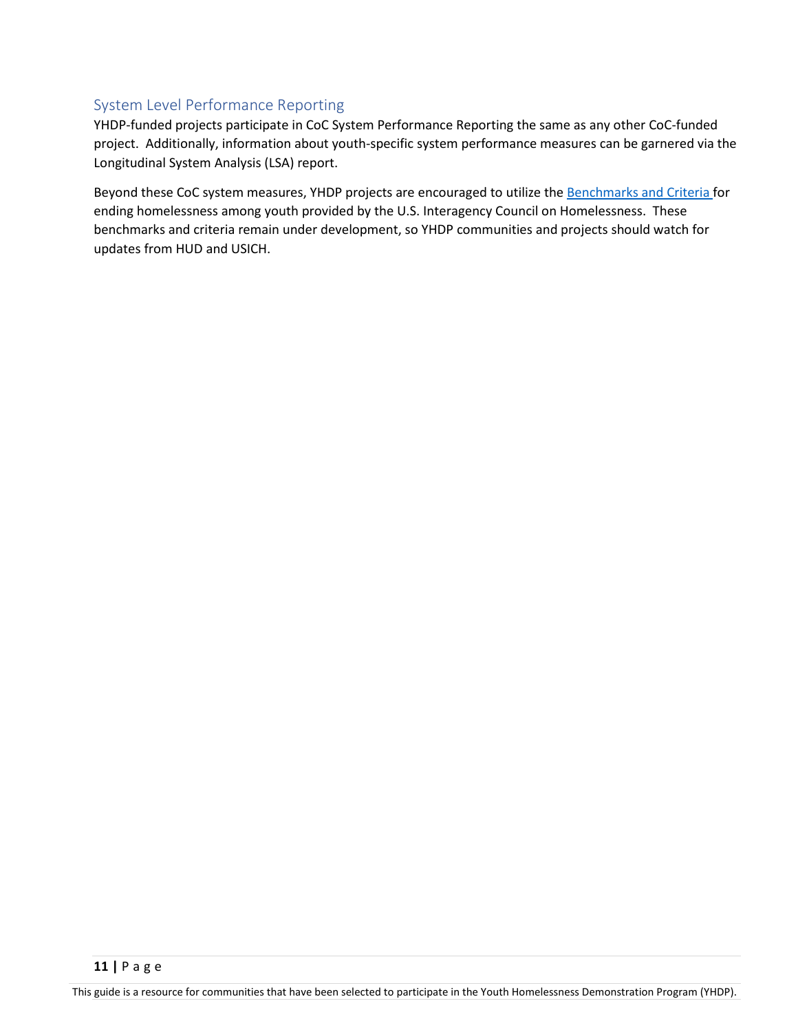## <span id="page-10-0"></span>System Level Performance Reporting

YHDP-funded projects participate in CoC System Performance Reporting the same as any other CoC-funded project. Additionally, information about youth-specific system performance measures can be garnered via the Longitudinal System Analysis (LSA) report.

Beyond these CoC system measures, YHDP projects are encouraged to utilize the [Benchmarks and Criteria f](https://www.usich.gov/tools-for-action/criteria-and-benchmarks-for-ending-youth-homelessness/)or ending homelessness among youth provided by the U.S. Interagency Council on Homelessness. These benchmarks and criteria remain under development, so YHDP communities and projects should watch for updates from HUD and USICH.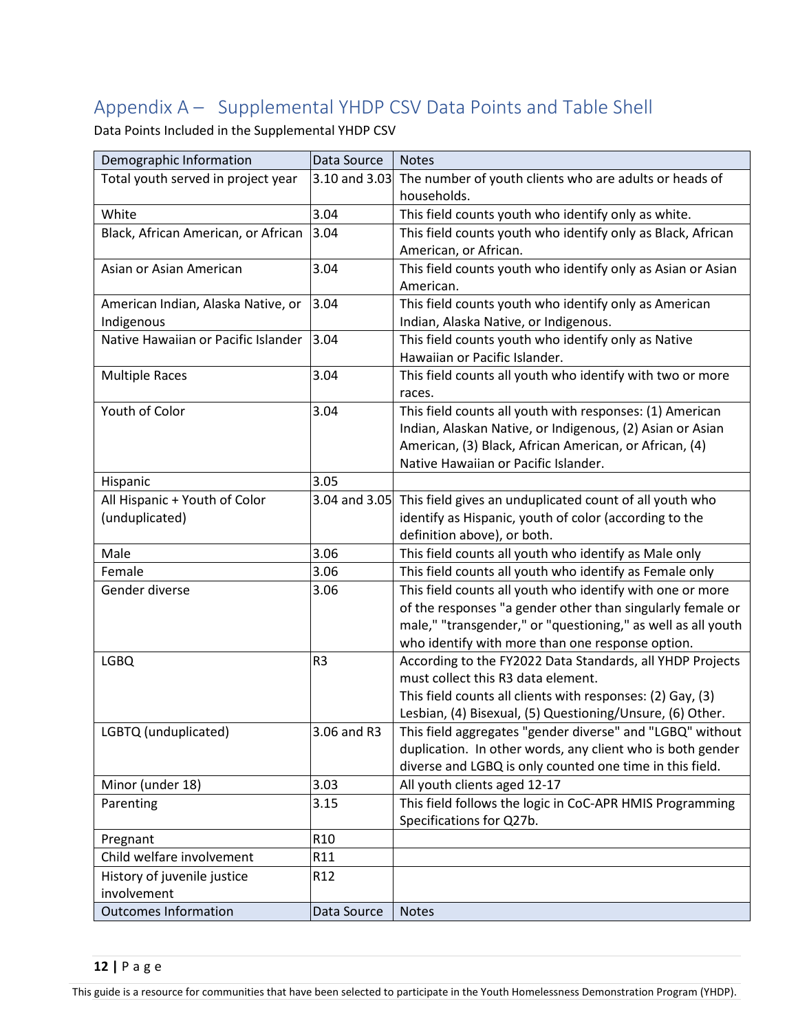# <span id="page-11-0"></span>Appendix A – Supplemental YHDP CSV Data Points and Table Shell

Data Points Included in the Supplemental YHDP CSV

| Demographic Information             | Data Source     | <b>Notes</b>                                                 |
|-------------------------------------|-----------------|--------------------------------------------------------------|
| Total youth served in project year  | 3.10 and 3.03   | The number of youth clients who are adults or heads of       |
|                                     |                 | households.                                                  |
| White                               | 3.04            | This field counts youth who identify only as white.          |
| Black, African American, or African | 3.04            | This field counts youth who identify only as Black, African  |
|                                     |                 | American, or African.                                        |
| Asian or Asian American             | 3.04            | This field counts youth who identify only as Asian or Asian  |
|                                     |                 | American.                                                    |
| American Indian, Alaska Native, or  | 3.04            | This field counts youth who identify only as American        |
| Indigenous                          |                 | Indian, Alaska Native, or Indigenous.                        |
| Native Hawaiian or Pacific Islander | 3.04            | This field counts youth who identify only as Native          |
|                                     |                 | Hawaiian or Pacific Islander.                                |
| <b>Multiple Races</b>               | 3.04            | This field counts all youth who identify with two or more    |
|                                     |                 | races.                                                       |
| Youth of Color                      | 3.04            | This field counts all youth with responses: (1) American     |
|                                     |                 | Indian, Alaskan Native, or Indigenous, (2) Asian or Asian    |
|                                     |                 | American, (3) Black, African American, or African, (4)       |
|                                     |                 | Native Hawaiian or Pacific Islander.                         |
| Hispanic                            | 3.05            |                                                              |
| All Hispanic + Youth of Color       | 3.04 and 3.05   | This field gives an unduplicated count of all youth who      |
| (unduplicated)                      |                 | identify as Hispanic, youth of color (according to the       |
|                                     |                 | definition above), or both.                                  |
| Male                                | 3.06            | This field counts all youth who identify as Male only        |
| Female                              | 3.06            | This field counts all youth who identify as Female only      |
| Gender diverse                      | 3.06            | This field counts all youth who identify with one or more    |
|                                     |                 | of the responses "a gender other than singularly female or   |
|                                     |                 | male," "transgender," or "questioning," as well as all youth |
|                                     |                 | who identify with more than one response option.             |
| <b>LGBQ</b>                         | R <sub>3</sub>  | According to the FY2022 Data Standards, all YHDP Projects    |
|                                     |                 | must collect this R3 data element.                           |
|                                     |                 | This field counts all clients with responses: (2) Gay, (3)   |
|                                     |                 | Lesbian, (4) Bisexual, (5) Questioning/Unsure, (6) Other.    |
| LGBTQ (unduplicated)                | 3.06 and R3     | This field aggregates "gender diverse" and "LGBQ" without    |
|                                     |                 | duplication. In other words, any client who is both gender   |
|                                     |                 | diverse and LGBQ is only counted one time in this field.     |
| Minor (under 18)                    | 3.03            | All youth clients aged 12-17                                 |
| Parenting                           | 3.15            | This field follows the logic in CoC-APR HMIS Programming     |
|                                     |                 | Specifications for Q27b.                                     |
| Pregnant                            | R <sub>10</sub> |                                                              |
| Child welfare involvement           | R11             |                                                              |
| History of juvenile justice         | R <sub>12</sub> |                                                              |
| involvement                         |                 |                                                              |
| <b>Outcomes Information</b>         | Data Source     | <b>Notes</b>                                                 |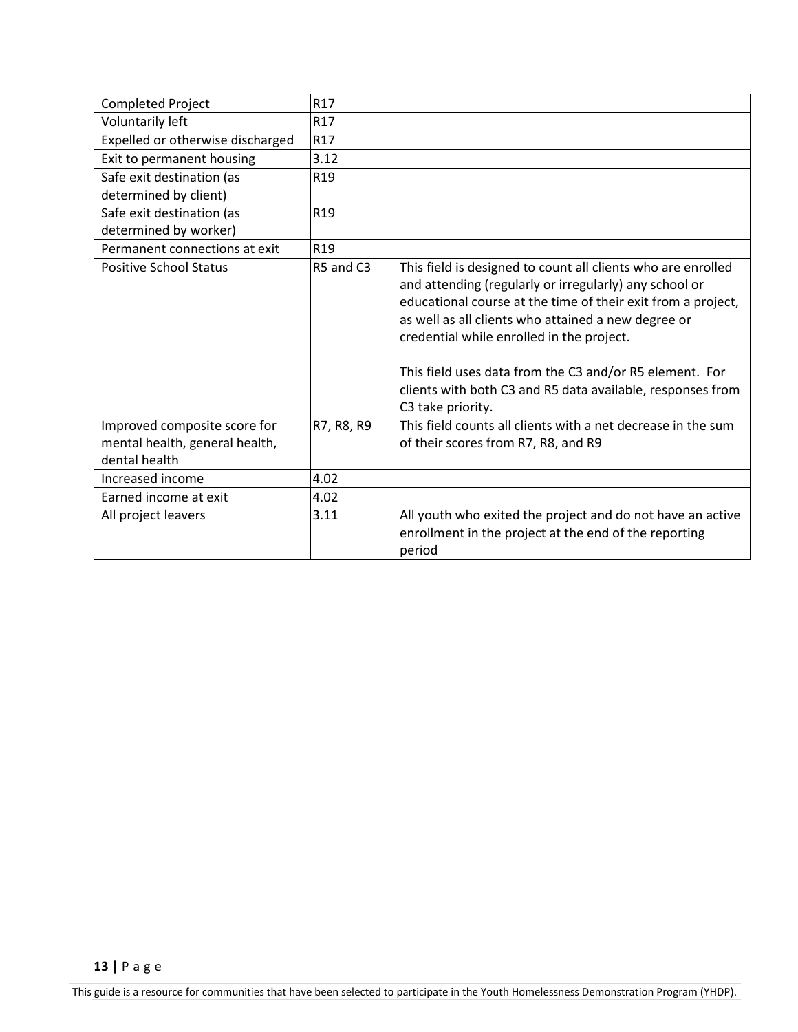| <b>Completed Project</b>                                                        | R17             |                                                                                                                                                                                                                                                                                                                                                                                                                                          |
|---------------------------------------------------------------------------------|-----------------|------------------------------------------------------------------------------------------------------------------------------------------------------------------------------------------------------------------------------------------------------------------------------------------------------------------------------------------------------------------------------------------------------------------------------------------|
| Voluntarily left                                                                | R17             |                                                                                                                                                                                                                                                                                                                                                                                                                                          |
| Expelled or otherwise discharged                                                | R17             |                                                                                                                                                                                                                                                                                                                                                                                                                                          |
| Exit to permanent housing                                                       | 3.12            |                                                                                                                                                                                                                                                                                                                                                                                                                                          |
| Safe exit destination (as                                                       | R <sub>19</sub> |                                                                                                                                                                                                                                                                                                                                                                                                                                          |
| determined by client)                                                           |                 |                                                                                                                                                                                                                                                                                                                                                                                                                                          |
| Safe exit destination (as                                                       | R <sub>19</sub> |                                                                                                                                                                                                                                                                                                                                                                                                                                          |
| determined by worker)                                                           |                 |                                                                                                                                                                                                                                                                                                                                                                                                                                          |
| Permanent connections at exit                                                   | R <sub>19</sub> |                                                                                                                                                                                                                                                                                                                                                                                                                                          |
| <b>Positive School Status</b>                                                   | R5 and C3       | This field is designed to count all clients who are enrolled<br>and attending (regularly or irregularly) any school or<br>educational course at the time of their exit from a project,<br>as well as all clients who attained a new degree or<br>credential while enrolled in the project.<br>This field uses data from the C3 and/or R5 element. For<br>clients with both C3 and R5 data available, responses from<br>C3 take priority. |
| Improved composite score for<br>mental health, general health,<br>dental health | R7, R8, R9      | This field counts all clients with a net decrease in the sum<br>of their scores from R7, R8, and R9                                                                                                                                                                                                                                                                                                                                      |
| Increased income                                                                | 4.02            |                                                                                                                                                                                                                                                                                                                                                                                                                                          |
| Earned income at exit                                                           | 4.02            |                                                                                                                                                                                                                                                                                                                                                                                                                                          |
| All project leavers                                                             | 3.11            | All youth who exited the project and do not have an active<br>enrollment in the project at the end of the reporting<br>period                                                                                                                                                                                                                                                                                                            |